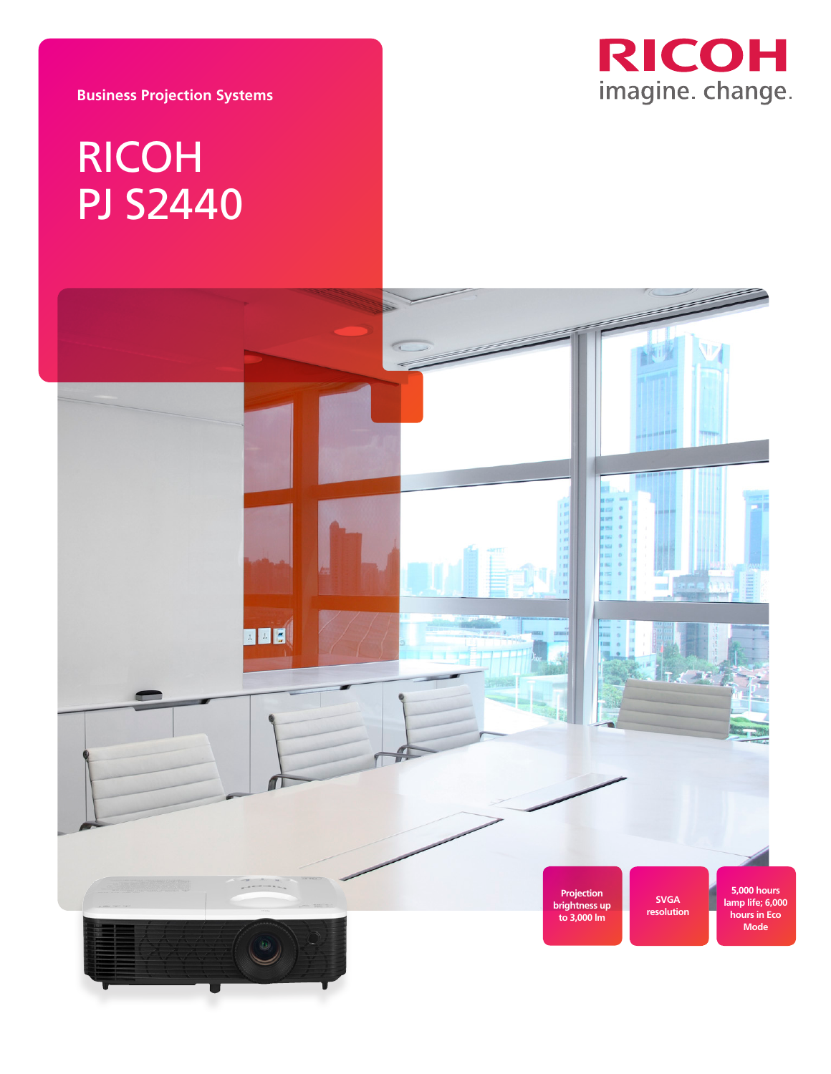**RICOH** imagine. change.

**Business Projection Systems**

## RICOH PJ S2440